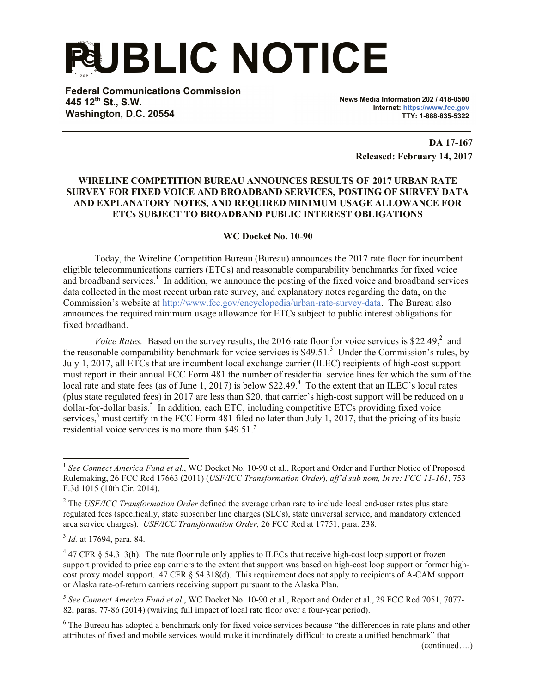**PUBLIC NOTICE**

**Federal Communications Commission 445 12th St., S.W. Washington, D.C. 20554**

**News Media Information 202 / 418-0500 Internet: https://www.fcc.gov TTY: 1-888-835-5322**

> **DA 17-167 Released: February 14, 2017**

## **WIRELINE COMPETITION BUREAU ANNOUNCES RESULTS OF 2017 URBAN RATE SURVEY FOR FIXED VOICE AND BROADBAND SERVICES, POSTING OF SURVEY DATA AND EXPLANATORY NOTES, AND REQUIRED MINIMUM USAGE ALLOWANCE FOR ETCs SUBJECT TO BROADBAND PUBLIC INTEREST OBLIGATIONS**

## **WC Docket No. 10-90**

Today, the Wireline Competition Bureau (Bureau) announces the 2017 rate floor for incumbent eligible telecommunications carriers (ETCs) and reasonable comparability benchmarks for fixed voice and broadband services.<sup>1</sup> In addition, we announce the posting of the fixed voice and broadband services data collected in the most recent urban rate survey, and explanatory notes regarding the data, on the Commission's website at http://www.fcc.gov/encyclopedia/urban-rate-survey-data. The Bureau also announces the required minimum usage allowance for ETCs subject to public interest obligations for fixed broadband.

Voice Rates. Based on the survey results, the 2016 rate floor for voice services is \$22.49,<sup>2</sup> and the reasonable comparability benchmark for voice services is \$49.51.<sup>3</sup> Under the Commission's rules, by July 1, 2017, all ETCs that are incumbent local exchange carrier (ILEC) recipients of high-cost support must report in their annual FCC Form 481 the number of residential service lines for which the sum of the local rate and state fees (as of June 1, 2017) is below \$22.49.<sup>4</sup> To the extent that an ILEC's local rates (plus state regulated fees) in 2017 are less than \$20, that carrier's high-cost support will be reduced on a dollar-for-dollar basis.<sup>5</sup> In addition, each ETC, including competitive ETCs providing fixed voice services,<sup>6</sup> must certify in the FCC Form 481 filed no later than July 1, 2017, that the pricing of its basic residential voice services is no more than \$49.51.<sup>7</sup>

<sup>&</sup>lt;sup>1</sup> See Connect America Fund et al., WC Docket No. 10-90 et al., Report and Order and Further Notice of Proposed Rulemaking, 26 FCC Rcd 17663 (2011) (*USF/ICC Transformation Order*), *aff'd sub nom, In re: FCC 11-161*, 753 F.3d 1015 (10th Cir. 2014).

<sup>2</sup> The *USF/ICC Transformation Order* defined the average urban rate to include local end-user rates plus state regulated fees (specifically, state subscriber line charges (SLCs), state universal service, and mandatory extended area service charges). *USF/ICC Transformation Order*, 26 FCC Rcd at 17751, para. 238.

<sup>3</sup> *Id.* at 17694, para. 84.

 $4$  47 CFR § 54.313(h). The rate floor rule only applies to ILECs that receive high-cost loop support or frozen support provided to price cap carriers to the extent that support was based on high-cost loop support or former highcost proxy model support. 47 CFR § 54.318(d). This requirement does not apply to recipients of A-CAM support or Alaska rate-of-return carriers receiving support pursuant to the Alaska Plan.

<sup>5</sup> *See Connect America Fund et al*., WC Docket No. 10-90 et al., Report and Order et al., 29 FCC Rcd 7051, 7077- 82, paras. 77-86 (2014) (waiving full impact of local rate floor over a four-year period).

<sup>&</sup>lt;sup>6</sup> The Bureau has adopted a benchmark only for fixed voice services because "the differences in rate plans and other attributes of fixed and mobile services would make it inordinately difficult to create a unified benchmark" that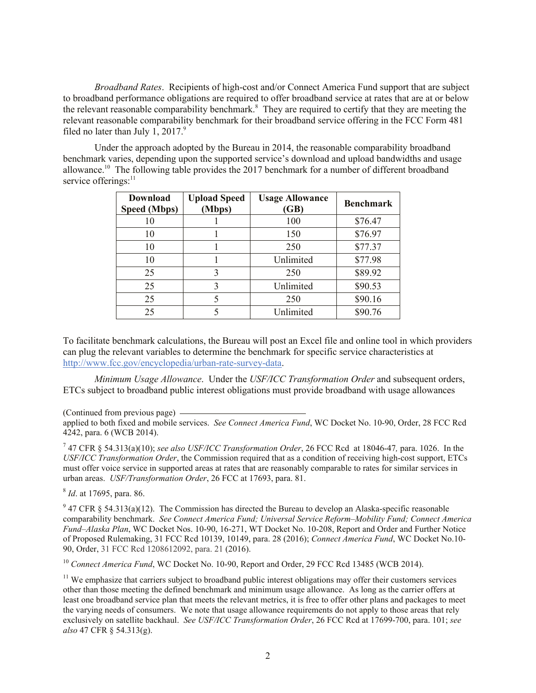*Broadband Rates*. Recipients of high-cost and/or Connect America Fund support that are subject to broadband performance obligations are required to offer broadband service at rates that are at or below the relevant reasonable comparability benchmark.<sup>8</sup> They are required to certify that they are meeting the relevant reasonable comparability benchmark for their broadband service offering in the FCC Form 481 filed no later than July 1,  $2017$ .<sup>9</sup>

Under the approach adopted by the Bureau in 2014, the reasonable comparability broadband benchmark varies, depending upon the supported service's download and upload bandwidths and usage allowance.<sup>10</sup> The following table provides the 2017 benchmark for a number of different broadband service offerings:<sup>11</sup>

| <b>Download</b><br><b>Speed (Mbps)</b> | <b>Upload Speed</b><br>(Mbps) | <b>Usage Allowance</b><br>(GB) | <b>Benchmark</b> |
|----------------------------------------|-------------------------------|--------------------------------|------------------|
| 10                                     |                               | 100                            | \$76.47          |
| 10                                     |                               | 150                            | \$76.97          |
| 10                                     |                               | 250                            | \$77.37          |
| 10                                     |                               | Unlimited                      | \$77.98          |
| 25                                     | 3                             | 250                            | \$89.92          |
| 25                                     | 3                             | Unlimited                      | \$90.53          |
| 25                                     | 5                             | 250                            | \$90.16          |
| 25                                     |                               | Unlimited                      | \$90.76          |

To facilitate benchmark calculations, the Bureau will post an Excel file and online tool in which providers can plug the relevant variables to determine the benchmark for specific service characteristics at http://www.fcc.gov/encyclopedia/urban-rate-survey-data.

*Minimum Usage Allowance*. Under the *USF/ICC Transformation Order* and subsequent orders, ETCs subject to broadband public interest obligations must provide broadband with usage allowances

(Continued from previous page)

applied to both fixed and mobile services. *See Connect America Fund*, WC Docket No. 10-90, Order, 28 FCC Rcd 4242, para. 6 (WCB 2014).

7 47 CFR § 54.313(a)(10); *see also USF/ICC Transformation Order*, 26 FCC Rcd at 18046-47*,* para. 1026. In the *USF/ICC Transformation Order*, the Commission required that as a condition of receiving high-cost support, ETCs must offer voice service in supported areas at rates that are reasonably comparable to rates for similar services in urban areas. *USF/Transformation Order*, 26 FCC at 17693, para. 81.

8 *Id*. at 17695, para. 86.

 $9$  47 CFR § 54.313(a)(12). The Commission has directed the Bureau to develop an Alaska-specific reasonable comparability benchmark. *See Connect America Fund; Universal Service Reform–Mobility Fund; Connect America Fund–Alaska Plan*, WC Docket Nos. 10-90, 16-271, WT Docket No. 10-208, Report and Order and Further Notice of Proposed Rulemaking, 31 FCC Rcd 10139, 10149, para. 28 (2016); *Connect America Fund*, WC Docket No.10- 90, Order, 31 FCC Rcd 1208612092, para. 21 (2016).

<sup>10</sup> Connect America Fund, WC Docket No. 10-90, Report and Order, 29 FCC Rcd 13485 (WCB 2014).

 $11$  We emphasize that carriers subject to broadband public interest obligations may offer their customers services other than those meeting the defined benchmark and minimum usage allowance. As long as the carrier offers at least one broadband service plan that meets the relevant metrics, it is free to offer other plans and packages to meet the varying needs of consumers. We note that usage allowance requirements do not apply to those areas that rely exclusively on satellite backhaul. *See USF/ICC Transformation Order*, 26 FCC Rcd at 17699-700, para. 101; *see also* 47 CFR § 54.313(g).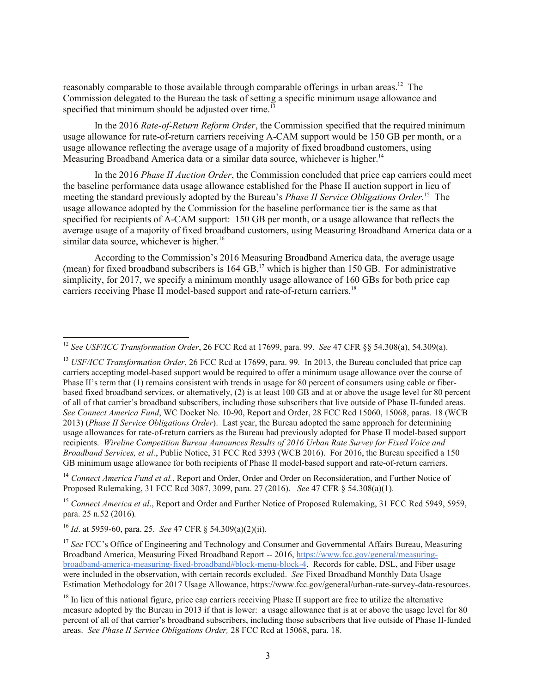reasonably comparable to those available through comparable offerings in urban areas.<sup>12</sup> The Commission delegated to the Bureau the task of setting a specific minimum usage allowance and specified that minimum should be adjusted over time.<sup>13</sup>

In the 2016 *Rate-of-Return Reform Order*, the Commission specified that the required minimum usage allowance for rate-of-return carriers receiving A-CAM support would be 150 GB per month, or a usage allowance reflecting the average usage of a majority of fixed broadband customers, using Measuring Broadband America data or a similar data source, whichever is higher.<sup>14</sup>

In the 2016 *Phase II Auction Order*, the Commission concluded that price cap carriers could meet the baseline performance data usage allowance established for the Phase II auction support in lieu of meeting the standard previously adopted by the Bureau's *Phase II Service Obligations Order*.<sup>15</sup> The usage allowance adopted by the Commission for the baseline performance tier is the same as that specified for recipients of A-CAM support: 150 GB per month, or a usage allowance that reflects the average usage of a majority of fixed broadband customers, using Measuring Broadband America data or a similar data source, whichever is higher. $16$ 

According to the Commission's 2016 Measuring Broadband America data, the average usage (mean) for fixed broadband subscribers is  $164 \text{ GB}$ ,<sup>17</sup> which is higher than 150 GB. For administrative simplicity, for 2017, we specify a minimum monthly usage allowance of 160 GBs for both price cap carriers receiving Phase II model-based support and rate-of-return carriers.<sup>18</sup>

<sup>14</sup> Connect America Fund et al., Report and Order, Order and Order on Reconsideration, and Further Notice of Proposed Rulemaking, 31 FCC Rcd 3087, 3099, para. 27 (2016). *See* 47 CFR § 54.308(a)(1).

 $\overline{a}$ 

<sup>12</sup> *See USF/ICC Transformation Order*, 26 FCC Rcd at 17699, para. 99. *See* 47 CFR §§ 54.308(a), 54.309(a).

<sup>&</sup>lt;sup>13</sup> *USF/ICC Transformation Order*, 26 FCC Rcd at 17699, para. 99. In 2013, the Bureau concluded that price cap carriers accepting model-based support would be required to offer a minimum usage allowance over the course of Phase II's term that (1) remains consistent with trends in usage for 80 percent of consumers using cable or fiberbased fixed broadband services, or alternatively, (2) is at least 100 GB and at or above the usage level for 80 percent of all of that carrier's broadband subscribers, including those subscribers that live outside of Phase II-funded areas. *See Connect America Fund*, WC Docket No. 10-90, Report and Order, 28 FCC Rcd 15060, 15068, paras. 18 (WCB 2013) (*Phase II Service Obligations Order*). Last year, the Bureau adopted the same approach for determining usage allowances for rate-of-return carriers as the Bureau had previously adopted for Phase II model-based support recipients. *Wireline Competition Bureau Announces Results of 2016 Urban Rate Survey for Fixed Voice and Broadband Services, et al.*, Public Notice, 31 FCC Rcd 3393 (WCB 2016). For 2016, the Bureau specified a 150 GB minimum usage allowance for both recipients of Phase II model-based support and rate-of-return carriers.

<sup>&</sup>lt;sup>15</sup> Connect America et al., Report and Order and Further Notice of Proposed Rulemaking, 31 FCC Rcd 5949, 5959, para. 25 n.52 (2016)*.*

<sup>16</sup> *Id*. at 5959-60, para. 25. *See* 47 CFR § 54.309(a)(2)(ii).

<sup>&</sup>lt;sup>17</sup> See FCC's Office of Engineering and Technology and Consumer and Governmental Affairs Bureau, Measuring Broadband America, Measuring Fixed Broadband Report -- 2016, https://www.fcc.gov/general/measuringbroadband-america-measuring-fixed-broadband#block-menu-block-4. Records for cable, DSL, and Fiber usage were included in the observation, with certain records excluded. *See* Fixed Broadband Monthly Data Usage Estimation Methodology for 2017 Usage Allowance, https://www.fcc.gov/general/urban-rate-survey-data-resources.

 $<sup>18</sup>$  In lieu of this national figure, price cap carriers receiving Phase II support are free to utilize the alternative</sup> measure adopted by the Bureau in 2013 if that is lower: a usage allowance that is at or above the usage level for 80 percent of all of that carrier's broadband subscribers, including those subscribers that live outside of Phase II-funded areas. *See Phase II Service Obligations Order,* 28 FCC Rcd at 15068, para. 18.